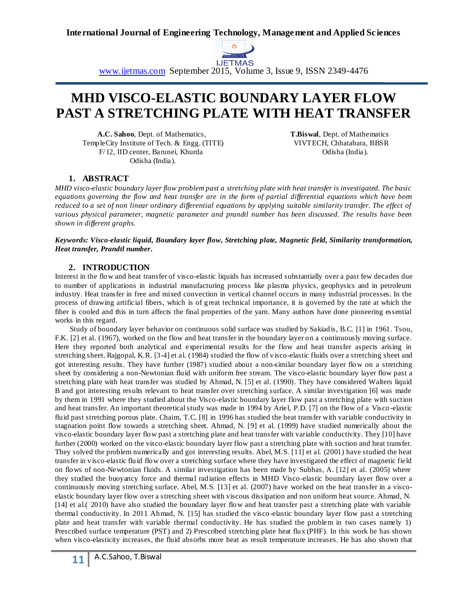

www.ijetmas.com September 2015, Volume 3, Issue 9, ISSN 2349-4476

# **MHD VISCO-ELASTIC BOUNDARY LAYER FLOW PAST A STRETCHING PLATE WITH HEAT TRANSFER**

 **A.C. Sahoo**, Dept. of Mathematics, **T.Biswal**, Dept. of Mathematics TempleCity Institute of Tech. & Engg. (TITE) VIVTECH, Chhatabara, BBSR F/12, IID center, Barunei, Khurda **Odisha (India).** Odisha (India). Odisha (India).

## **1. ABSTRACT**

*MHD visco-elastic boundary layer flow problem past a stretching plate with heat transfer is investigated. The basic equations governing the flow and heat transfer are in the form of partial differential equations which have been reduced to a set of non linear ordinary differential equations by applying suitable similarity transfer. The effect of various physical parameter, magnetic parameter and prandtl number has been discussed. The results have been shown in different graphs.*

*Keywords: Visco-elastic liquid, Boundary layer flow, Stretching plate, Magnetic field, Similarity transformation, Heat transfer, Prandtl number.*

#### **2. INTRODUCTION**

Interest in the flow and heat transfer of visco-elastic liquids has increased substantially over a past few decades due to number of applications in industrial manufacturing process like plasma physics, geophysics and in petroleum industry. Heat transfer in free and mixed convection in vertical channel occurs in many industrial processes. In the process of drawing artificial fibers, which is of great technical importance, it is governed by the rate at which the fiber is cooled and this in turn affects the final properties of the yarn. Many authors have done pioneering essential works in this regard.

 Study of boundary layer behavior on continuous solid surface was studied by Sakiadis, B.C. [1] in 1961. Tsou, F.K. [2] et al. (1967), worked on the flow and heat transfer in the boundary layer on a continuously moving surface. Here they reported both analytical and experimental results for the flow and heat transfer aspects arising in stretching sheet. Rajgopal, K.R. [3-4] et al. (1984) studied the flow of visco-elastic fluids over a stretching sheet and got interesting results. They have further (1987) studied about a non-similar boundary layer flow on a stretching sheet by considering a non-Newtonian fluid with uniform free stream. The visco-elastic boundary layer flow past a stretching plate with heat transfer was studied by Ahmad, N. [5] et al. (1990). They have considered Walters liquid B and got interesting results relevant to heat transfer over stretching surface. A similar investigation [6] was made by them in 1991 where they studied about the Visco-elastic boundary layer flow past a stretching plate with suction and heat transfer. An important theoretical study was made in 1994 by Ariel, P.D. [7] on the flow of a Visco -elastic fluid past stretching porous plate. Chaim, T.C. [8] in 1996 has studied the heat transfer with variable conductivity in stagnation point flow towards a stretching sheet. Ahmad, N. [9] et al. (1999) have studied numerically about the visco-elastic boundary layer flow past a stretching plate and heat transfer with variable conductivity. They [10] have further (2000) worked on the visco-elastic boundary layer flow past a stretching plate with suction and heat transfer. They solved the problem numerically and got interesting results. Abel, M.S. [11] et al. (2001) have studied the heat transfer in visco-elastic fluid flow over a stretching surface where they have investigated the effect of magnetic field on flows of non-Newtonian fluids. A similar investigation has been made by Subhas, A. [12] et al. (2005) where they studied the buoyancy force and thermal radiation effects in MHD Visco-elastic boundary layer flow over a continuously moving stretching surface. Abel, M.S. [13] et al. (2007) have worked on the heat transfer in a viscoelastic boundary layer flow over a stretching sheet with viscous dissipation and non uniform heat source. Ahmad, N. [14] et al.( 2010) have also studied the boundary layer flow and heat transfer past a stretching plate with variable thermal conductivity. In 2011 Ahmad, N. [15] has studied the visco-elastic boundary layer flow past a stretching plate and heat transfer with variable thermal conductivity. He has studied the problem in two cases namely 1) Prescribed surface temperature (PST) and 2) Prescribed stretching plate heat flux (PHF). In this work he has shown when visco-elasticity increases, the fluid absorbs more heat as result temperature increases. He has also shown that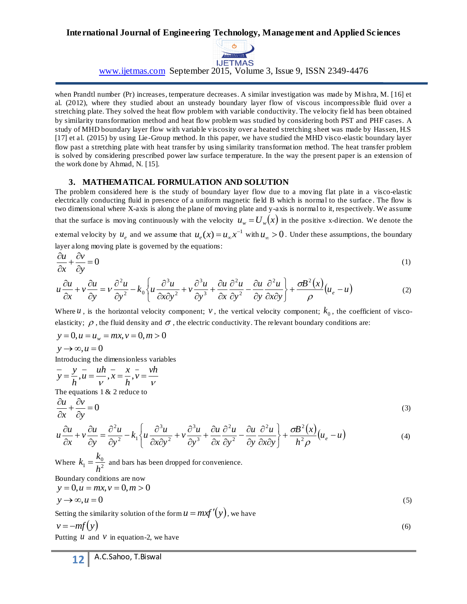

www.ijetmas.com September 2015, Volume 3, Issue 9, ISSN 2349-4476

when Prandtl number (Pr) increases, temperature decreases. A similar investigation was made by Mishra, M. [16] et al. (2012), where they studied about an unsteady boundary layer flow of viscous incompressible fluid over a stretching plate. They solved the heat flow problem with variable conductivity. The velocity field has been obtained by similarity transformation method and heat flow problem was studied by considering both PST and PHF cases. A study of MHD boundary layer flow with variable viscosity over a heated stretching sheet was made by Hassen, H.S [17] et al. (2015) by using Lie -Group method. In this paper, we have studied the MHD visco-elastic boundary layer flow past a stretching plate with heat transfer by using similarity transformation method. The heat transfer problem is solved by considering prescribed power law surface temperature. In the way the present paper is an extension of the work done by Ahmad, N. [15].

### **3. MATHEMATICAL FORMULATION AND SOLUTION**

The problem considered here is the study of boundary layer flow due to a moving flat plate in a visco-elastic electrically conducting fluid in presence of a uniform magnetic field B which is normal to the surface . The flow is two dimensional where X-axis is along the plane of moving plate and y-axis is normal to it, respectively. We assume that the surface is moving continuously with the velocity  $u_w = U_w(x)$  in the positive x-direction. We denote the external velocity by  $u_e$  and we assume that  $u_e(x) = u_\infty x^{-1}$  with  $u_\infty > 0$ . Under these assumptions, the boundary layer along moving plate is governed by the equations:

$$
\frac{\partial u}{\partial x} + \frac{\partial v}{\partial y} = 0
$$
 (1)

$$
u\frac{\partial u}{\partial x} + v\frac{\partial u}{\partial y} = v\frac{\partial^2 u}{\partial y^2} - k_0 \left\{ u\frac{\partial^3 u}{\partial x \partial y^2} + v\frac{\partial^3 u}{\partial y^3} + \frac{\partial u}{\partial x} \frac{\partial^2 u}{\partial y^2} - \frac{\partial u}{\partial y} \frac{\partial^2 u}{\partial x \partial y} \right\} + \frac{\sigma B^2(x)}{\rho} (u_e - u) \tag{2}
$$

Where  $u$ , is the horizontal velocity component;  $v$ , the vertical velocity component;  $k_0$ , the coefficient of viscoelasticity;  $\rho$  , the fluid density and  $\sigma$  , the electric conductivity. The relevant boundary conditions are:

$$
y = 0, u = u_w = mx, v = 0, m > 0
$$

$$
y \rightarrow \infty, u = 0
$$

Introducing the dimensionless variables

$$
\overline{y} = \frac{y}{h}, \overline{u} = \frac{uh}{v}, \overline{x} = \frac{x}{h}, \overline{v} = \frac{vh}{v}
$$

The equations  $1 & 2$  reduce to

$$
\frac{\partial u}{\partial x} + \frac{\partial v}{\partial y} = 0\tag{3}
$$

$$
u\frac{\partial u}{\partial x} + v\frac{\partial u}{\partial y} = \frac{\partial^2 u}{\partial y^2} - k_1 \left\{ u\frac{\partial^3 u}{\partial x \partial y^2} + v\frac{\partial^3 u}{\partial y^3} + \frac{\partial u}{\partial x} \frac{\partial^2 u}{\partial y^2} - \frac{\partial u}{\partial y} \frac{\partial^2 u}{\partial x \partial y} \right\} + \frac{\sigma B^2(x)}{h^2 \rho} (u_e - u) \tag{4}
$$

Where  $k_1 = \frac{10}{h^2}$  $\frac{h_0}{h_1} = \frac{h_0}{h_1}$  $k_1 = \frac{k_0}{l}$  and bars has been dropped for convenience.

Boundary conditions are now  $y = 0, u = mx, v = 0, m > 0$ 

$$
y \to \infty, u = 0 \tag{5}
$$

Setting the similarity solution of the form  $u = mxf'(y)$ , we have

$$
v = -mf(y) \tag{6}
$$

Putting  $u$  and  $v$  in equation-2, we have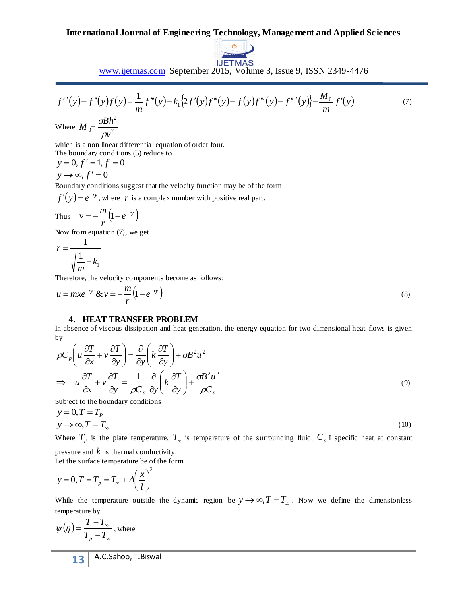

www.ijetmas.com September 2015, Volume 3, Issue 9, ISSN 2349-4476

$$
f^{\prime 2}(y) - f''(y)f(y) = \frac{1}{m}f'''(y) - k_1\{2f'(y)f'''(y) - f(y)f^{iv}(y) - f''^{2}(y)\} - \frac{M_0}{m}f'(y)
$$
(7)

Where  $M_0 = \frac{32\pi}{m^2}$ 2  $\int_0^\infty$  pv  $M_{0} = \frac{\sigma Bh}{2}$  $\rho$  $=\frac{\sigma B h}{2}$ .

which is a non linear differential equation of order four. The boundary conditions (5) reduce to

 $y = 0, f' = 1, f = 0$  $y \rightarrow \infty, f' = 0$ 

Boundary conditions suggest that the velocity function may be of the form

 $f'(y) = e^{-ry}$ , where r is a complex number with positive real part.

Thus 
$$
v = -\frac{m}{r} (1 - e^{-ry})
$$

Now from equation (7), we get

$$
r = \frac{1}{\sqrt{\frac{1}{m} - k_1}}
$$

Therefore, the velocity components become as follows:

$$
u = mxe^{-ry} \& v = -\frac{m}{r} (1 - e^{-ry})
$$
\n(8)

#### **4. HEAT TRANSFER PROBLEM**

In absence of viscous dissipation and heat generation, the energy equation for two dimensional heat flows is given by

$$
\rho C_p \left( u \frac{\partial T}{\partial x} + v \frac{\partial T}{\partial y} \right) = \frac{\partial}{\partial y} \left( k \frac{\partial T}{\partial y} \right) + \sigma B^2 u^2
$$
  
\n
$$
\Rightarrow u \frac{\partial T}{\partial x} + v \frac{\partial T}{\partial y} = \frac{1}{\rho C_p} \frac{\partial}{\partial y} \left( k \frac{\partial T}{\partial y} \right) + \frac{\sigma B^2 u^2}{\rho C_p}
$$
\n(9)

Subject to the boundary conditions

$$
y = 0, T = T_P
$$
  
\n
$$
y \rightarrow \infty, T = T_{\infty}
$$
 (10)

Where  $T_p$  is the plate temperature,  $T_\infty$  is temperature of the surrounding fluid,  $C_p$  I specific heat at constant pressure and  $k$  is thermal conductivity.

Let the surface temperature be of the form

$$
y = 0, T = T_p = T_{\infty} + A \left(\frac{x}{l}\right)^2
$$

While the temperature outside the dynamic region be  $y \rightarrow \infty$ ,  $T = T_{\infty}$ . Now we define the dimensionless temperature by

$$
\psi(\eta) = \frac{T - T_{\infty}}{T_p - T_{\infty}}, \text{ where}
$$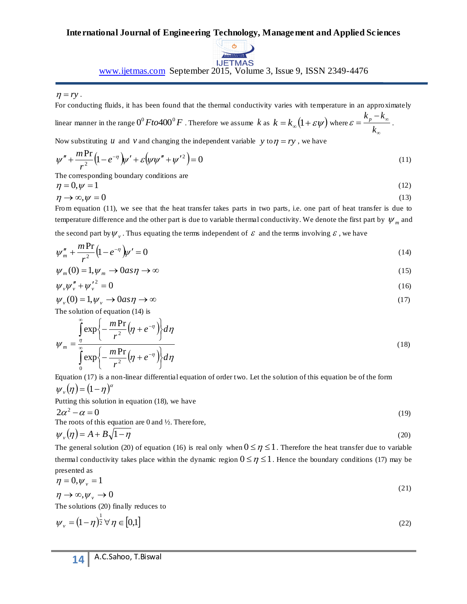

www.ijetmas.com September 2015, Volume 3, Issue 9, ISSN 2349-4476

For conducting fluids, it has been found that the thermal conductivity varies with temperature in an approximately

linear manner in the range  $0^0 \, F to 400^0 \, F$  . Therefore we assume  $k$  as  $k = k_{\infty} \big( 1 + \varepsilon \psi \big)$  where ∞  $=\frac{k_p-k_{\infty}}{k_{\infty}}$ *k*  $\varepsilon = \frac{k_p - k_\infty}{l}$ .

Now substituting *u* and *v* and changing the independent variable *y* to  $\eta = ry$ , we have

$$
\psi'' + \frac{mPr}{r^2} (1 - e^{-r}) \psi' + \varepsilon (\psi \psi'' + \psi'^2) = 0
$$
\n(11)

The corresponding boundary conditions are

$$
\eta = 0, \psi = 1 \tag{12}
$$
\n
$$
\eta \to \infty, \psi = 0 \tag{13}
$$

From equation (11), we see that the heat transfer takes parts in two parts, i.e. one part of heat transfer is due to temperature difference and the other part is due to variable thermal conductivity. We denote the first part by  $\psi_m$  and the second part by  $\psi_{\nu}$ . Thus equating the terms independent of  $\varepsilon$  and the terms involving  $\varepsilon$ , we have

$$
\psi''_m + \frac{m \Pr}{r^2} \left( 1 - e^{-r} \right) \psi' = 0 \tag{14}
$$

$$
\psi_m(0) = 1, \psi_m \to 0 \text{ as } \eta \to \infty \tag{15}
$$

$$
\psi_{\nu}\psi''_{\nu} + {\psi'}_{\nu}^2 = 0 \tag{16}
$$

$$
\psi_{\nu}(0) = 1, \psi_{\nu} \to 0 \text{ as } \eta \to \infty \tag{17}
$$

The solution of equation (14) is

$$
\eta = ry
$$
.  
\nFor conducting fluids, it has been found that the thermal conductivity varies with temperature in an approximately  
\nlinear manner in the range O<sup>0</sup> *F* to 400<sup>0</sup> *F*. Therefore we assume *k* as *k* = *k<sub>α</sub>* (1 + *εψ*) where *ε* =  $\frac{k_p - k_z}{k_z}$ .  
\nNow substituting *u* and *v* and changing the independent variable *y* to *η* = *ry*, we have  
\n
$$
\psi'' + \frac{mPr}{r^2} (1 - e^{-\eta}) \psi' + \varepsilon (\psi \psi'' + \psi'^2) = 0
$$
\n(12)  
\nThe corresponding boundary conditions are  
\n
$$
\eta \to \infty, \psi = 0
$$
\n(13)  
\nFrom equation (11), we see that the heat transfer takes parts in two parts, i.e. one part of heat transfer is due to  
\n
$$
\eta \to \infty, \psi = 0
$$
\n(14)  
\nFrom equation (14), we see that the heat transfer takes parts in two parts, i.e. one part of heat transfer is due to  
\nthe second part by *ψ<sub>y</sub>*. Thus equating the terms independent of *ε* and the terms involving *ε*, we have  
\nthe second part by *ψ<sub>y</sub>*. Thus equating the terms independent of *ε* and the terms involving *ε*, we have  
\n
$$
\psi'' + \frac{m}{r^2} (1 - e^{-\eta}) \psi' = 0
$$
\n(14)  
\n
$$
\psi'' + \frac{m}{r^2} (1 - e^{-\eta}) \psi' = 0
$$
\n(15)  
\n
$$
\psi'' + \frac{m}{r^2} (1 - e^{-\eta}) \psi = 0
$$
\n(16)  
\n
$$
\psi \psi'' + \psi' = 0
$$
\n(17)  
\nThe roots of this equation (14) is  
\n
$$
\int_{0}^{2} \exp \left\{-\frac{mPr}{r^2} (\eta + e^{-\eta})\right\} d\eta
$$
\n(18)  
\n
$$
\psi = \frac{\pi}{2} \exp \left\{-\frac{mPr}{r^2} (\eta + e^{-\eta})\right\} d\eta
$$
\n(19)  
\nPutting this solution in equation (18), we have

Equation (17) is a non-linear differential equation of order two. Let the solution of this equation be of the form  $\psi_{v}(\eta) = (1 - \eta)^{\alpha}$ 

Putting this solution in equation (18), we have\n
$$
\int_{0}^{1} f(x) \, dx
$$

$$
2\alpha^2 - \alpha = 0
$$
  
The roots of this equation are 0 and ½. Therefore, (19)

$$
\psi_{\nu}(\eta) = A + B\sqrt{1 - \eta} \tag{20}
$$

The general solution (20) of equation (16) is real only when  $0 \le \eta \le 1$ . Therefore the heat transfer due to variable thermal conductivity takes place within the dynamic region  $0 \le \eta \le 1$ . Hence the boundary conditions (17) may be presented as

$$
\eta = 0, \psi_{\nu} = 1
$$
  
\n
$$
\eta \to \infty, \psi_{\nu} \to 0
$$
\n(21)

The solutions (20) finally reduces to

$$
\psi_{\nu} = (1 - \eta)^{\frac{1}{2}} \forall \eta \in [0,1]
$$
\n
$$
\tag{22}
$$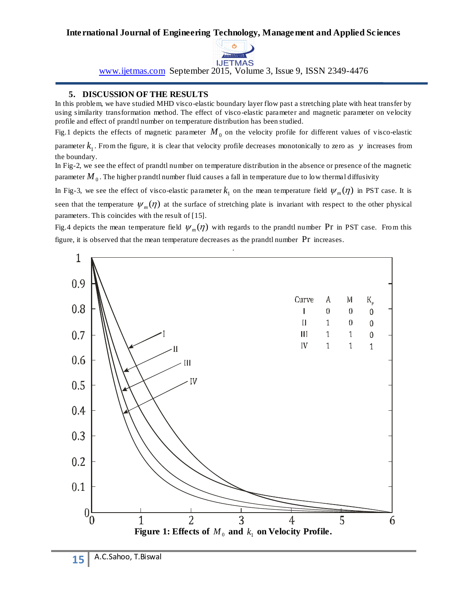

www.ijetmas.com September 2015, Volume 3, Issue 9, ISSN 2349-4476

## **5. DISCUSSION OF THE RESULTS**

In this problem, we have studied MHD visco-elastic boundary layer flow past a stretching plate with heat transfer by using similarity transformation method. The effect of visco-elastic parameter and magnetic parameter on velocity profile and effect of prandtl number on temperature distribution has been studied.

Fig.1 depicts the effects of magnetic parameter  $M_0$  on the velocity profile for different values of visco-elastic

parameter  $k_1$ . From the figure, it is clear that velocity profile decreases monotonically to zero as y increases from the boundary.

In Fig-2, we see the effect of prandtl number on temperature distribution in the absence or presence of the magnetic parameter  $\overline{M}_{\,0}$  . The higher prandtl number fluid causes a fall in temperature due to low thermal diffusivity

In Fig-3, we see the effect of visco-elastic parameter  $k_1$  on the mean temperature field  $\psi_m(\eta)$  in PST case. It is seen that the temperature  $\psi_m(\eta)$  at the surface of stretching plate is invariant with respect to the other physical parameters. This coincides with the result of [15].

Fig.4 depicts the mean temperature field  $\psi_m(\eta)$  with regards to the prandtl number Pr in PST case. From this figure, it is observed that the mean temperature decreases as the prandtl number Pr increases.

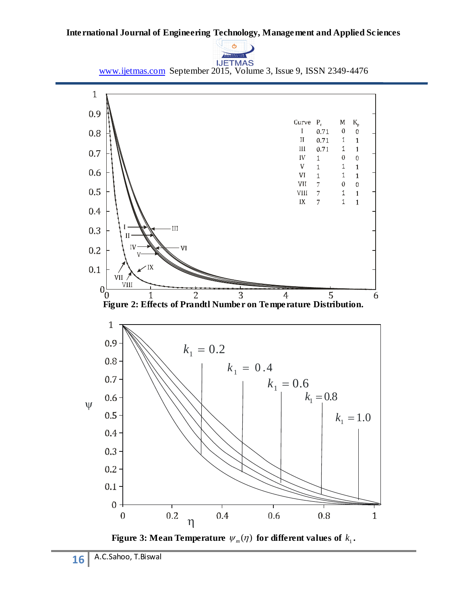

www.ijetmas.com September 2015, Volume 3, Issue 9, ISSN 2349-4476



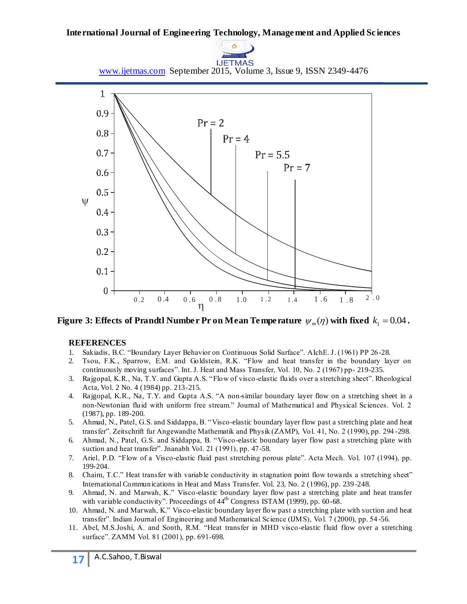

www.ijetmas.com September 2015, Volume 3, Issue 9, ISSN 2349-4476



Figure 3: Effects of Prandtl Number Pr on Mean Temperature  $\psi_{_m}(\eta)$  with fixed  $k_{_1}$  = 0.04 **.** 

## **REFERENCES**

- 1. Sakiadis, B.C. "Boundary Layer Behavior on Continuous Solid Surface". AIchE. J. (1961) PP 26 -28.
- 2. Tsou, F.K., Sparrow, E.M. and Goldstein, R.K. "Flow and heat transfer in the boundary layer on continuously moving surfaces". Int. J. Heat and Mass Transfer, Vol. 10, No. 2 (1967) pp- 219-235.
- 3. Rajgopal, K.R., Na, T.Y. and Gupta A.S. "Flow of visco-elastic fluids over a stretching sheet". Rheological Acta, Vol. 2 No. 4 (1984) pp. 213-215.
- 4. Rajgopal, K.R., Na, T.Y. and Gupta A.S. "A non-similar boundary layer flow on a stretching sheet in a non-Newtonian fluid with uniform free stream." Journal of Mathematical and Physical Sciences. Vol. 2 (1987), pp. 189-200.
- 5. Ahmad, N., Patel, G.S. and Siddappa, B. "Visco-elastic boundary layer flow past a stretching plate and heat transfer". Zeitschrift fur Angewandte Mathematik and Physik (ZAMP), Vol. 41, No. 2 (1990), pp. 294 -298.
- 6. Ahmad, N., Patel, G.S. and Siddappa, B. "Visco-elastic boundary layer flow past a stretching plate with suction and heat transfer". Jnanabh Vol. 21 (1991), pp. 47-58.
- 7. Ariel, P.D. "Flow of a Visco-elastic fluid past stretching porous plate". Acta Mech. Vol. 107 (1994), pp. 199-204.
- 8. Chaim, T.C." Heat transfer with variable conductivity in stagnation point flow towards a stretching sheet" International Communications in Heat and Mass Transfer. Vol. 23, No. 2 (1996), pp. 239 -248.
- 9. Ahmad, N. and Marwah, K." Visco-elastic boundary layer flow past a stretching plate and heat transfer with variable conductivity". Proceedings of 44<sup>th</sup> Congress ISTAM (1999), pp. 60-68.
- 10. Ahmad, N. and Marwah, K." Visco-elastic boundary layer flow past a stretching plate with suction and heat transfer". Indian Journal of Engineering and Mathematical Science (IJMS), Vol. 7 (2000), pp. 54 -56.
- 11. Abel, M.S.Joshi, A. and Sonth, R.M. "Heat transfer in MHD visco-elastic fluid flow over a stretching surface". ZAMM Vol. 81 (2001), pp. 691-698.